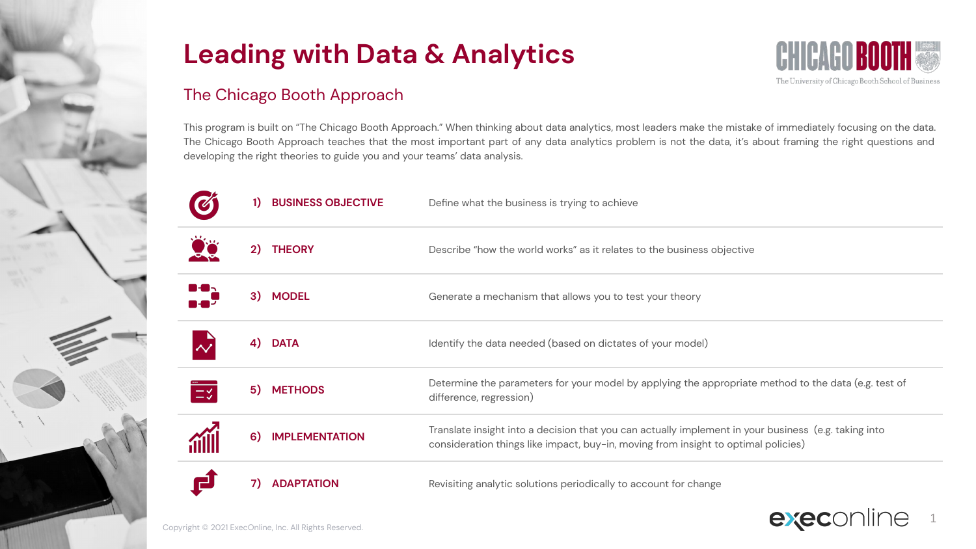

### The Chicago Booth Approach

This program is built on "The Chicago Booth Approach." When thinking about data analytics, most leaders make the mistake of immediately focusing on the data. The Chicago Booth Approach teaches that the most important part of any data analytics problem is not the data, it's about framing the right questions and developing the right theories to guide you and your teams' data analysis.

|          |    | <b>BUSINESS OBJECTIVE</b>                            | Define what the business is trying to achieve                                                                                                                                              |  |  |
|----------|----|------------------------------------------------------|--------------------------------------------------------------------------------------------------------------------------------------------------------------------------------------------|--|--|
|          | 2) | <b>THEORY</b>                                        | Describe "how the world works" as it relates to the business objective                                                                                                                     |  |  |
| ਢ≥       |    | 3) MODEL                                             | Generate a mechanism that allows you to test your theory                                                                                                                                   |  |  |
|          | 4) | <b>DATA</b>                                          | Identify the data needed (based on dictates of your model)                                                                                                                                 |  |  |
| $\equiv$ | 5) | <b>METHODS</b>                                       | Determine the parameters for your model by applying the appropriate method to the data (e.g. test of<br>difference, regression)                                                            |  |  |
|          | 6) | <b>IMPLEMENTATION</b>                                | Translate insight into a decision that you can actually implement in your business (e.g. taking into<br>consideration things like impact, buy-in, moving from insight to optimal policies) |  |  |
|          | 7) | <b>ADAPTATION</b>                                    | Revisiting analytic solutions periodically to account for change                                                                                                                           |  |  |
|          |    | Convright @ 2021 ExacOplina Inc. All Pights Pesaruad | <b>execo</b>                                                                                                                                                                               |  |  |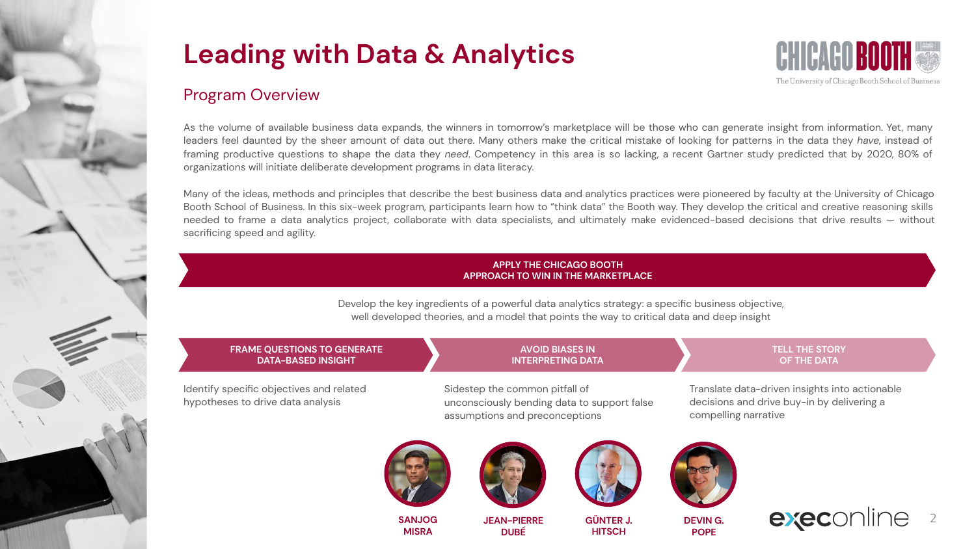

### Program Overview

As the volume of available business data expands, the winners in tomorrow's marketplace will be those who can generate insight from information. Yet, many leaders feel daunted by the sheer amount of data out there. Many others make the critical mistake of looking for patterns in the data they *have*, instead of framing productive questions to shape the data they *need*. Competency in this area is so lacking, a recent Gartner study predicted that by 2020, 80% of organizations will initiate deliberate development programs in data literacy.

Many of the ideas, methods and principles that describe the best business data and analytics practices were pioneered by faculty at the University of Chicago Booth School of Business. In this six-week program, participants learn how to "think data" the Booth way. They develop the critical and creative reasoning skills needed to frame a data analytics project, collaborate with data specialists, and ultimately make evidenced-based decisions that drive results — without sacrificing speed and agility.

#### **APPLY THE CHICAGO BOOTH APPROACH TO WIN IN THE MARKETPLACE**

Develop the key ingredients of a powerful data analytics strategy: a specific business objective, well developed theories, and a model that points the way to critical data and deep insight

#### **FRAME QUESTIONS TO GENERATE DATA-BASED INSIGHT**  Identify specific objectives and related hypotheses to drive data analysis **AVOID BIASES IN INTERPRETING DATA** Sidestep the common pitfall of unconsciously bending data to support false assumptions and preconceptions **TELL THE STORY OF THE DATA** Translate data-driven insights into actionable decisions and drive buy-in by delivering a compelling narrative











**SANJOG MISRA**

**JEAN-PIERRE DUBÉ**

**GÜNTER J. HITSCH**

**DEVIN G. POPE**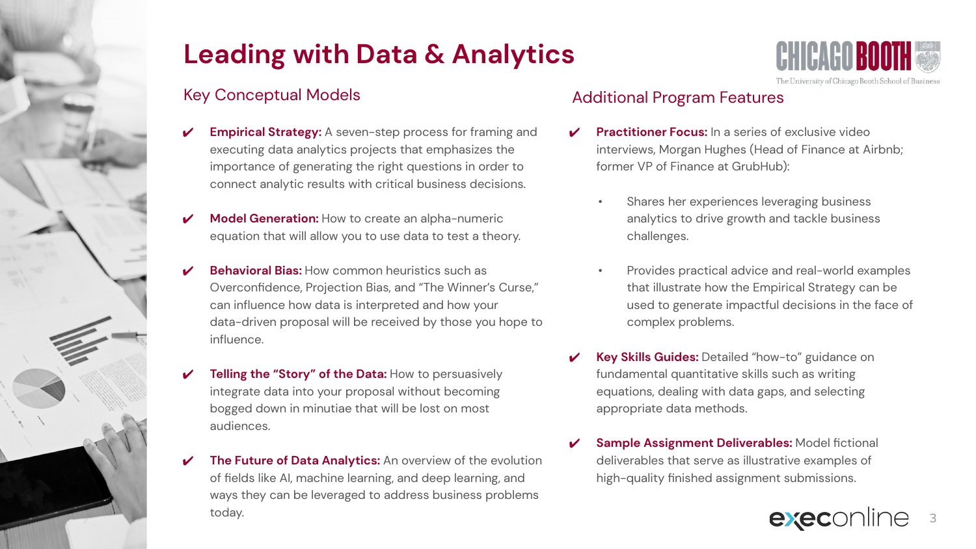## Key Conceptual Models

- **Empirical Strategy:** A seven-step process for framing and executing data analytics projects that emphasizes the importance of generating the right questions in order to connect analytic results with critical business decisions.
- **Model Generation:** How to create an alpha-numeric equation that will allow you to use data to test a theory.
- **Behavioral Bias: How common heuristics such as** Overconfidence, Projection Bias, and "The Winner's Curse," can influence how data is interpreted and how your data-driven proposal will be received by those you hope to influence.
- **Telling the "Story" of the Data: How to persuasively** integrate data into your proposal without becoming bogged down in minutiae that will be lost on most audiences.
- **The Future of Data Analytics:** An overview of the evolution of fields like AI, machine learning, and deep learning, and ways they can be leveraged to address business problems today.

## Additional Program Features

- **Practitioner Focus:** In a series of exclusive video interviews, Morgan Hughes (Head of Finance at Airbnb; former VP of Finance at GrubHub):
	- Shares her experiences leveraging business analytics to drive growth and tackle business challenges.
	- Provides practical advice and real-world examples that illustrate how the Empirical Strategy can be used to generate impactful decisions in the face of complex problems.
- ✔ **Key Skills Guides:** Detailed "how-to" guidance on fundamental quantitative skills such as writing equations, dealing with data gaps, and selecting appropriate data methods.
- **Sample Assignment Deliverables: Model fictional** deliverables that serve as illustrative examples of high-quality finished assignment submissions.



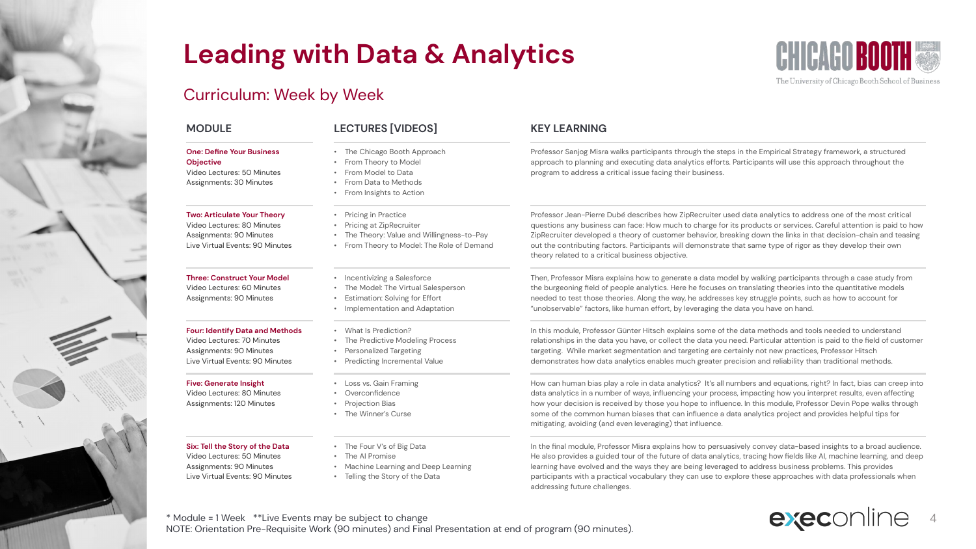### Curriculum: Week by Week

#### **One: Define Your Business Objective**

Video Lectures: 50 Minutes Assignments: 30 Minutes

#### **Two: Articulate Your Theory**

Video Lectures: 80 Minutes Assignments: 90 Minutes Live Virtual Events: 90 Minutes

#### **Three: Construct Your Model**

Video Lectures: 60 Minutes Assignments: 90 Minutes

#### **Four: Identify Data and Methods**

Video Lectures: 70 Minutes Assignments: 90 Minutes Live Virtual Events: 90 Minutes

#### **Five: Generate Insight**

Video Lectures: 80 Minutes Assignments: 120 Minutes

#### **Six: Tell the Story of the Data**

Video Lectures: 50 Minutes Assignments: 90 Minutes Live Virtual Events: 90 Minutes

#### **MODULE LECTURES [VIDEOS] KEY LEARNING**

- The Chicago Booth Approach
- From Theory to Model
- From Model to Data
- From Data to Methods
- From Insights to Action
- Pricing in Practice
- Pricing at ZipRecruiter
- The Theory: Value and Willingness-to-Pay
- From Theory to Model: The Role of Demand
- Incentivizing a Salesforce
- The Model: The Virtual Salesperson
- **Estimation: Solving for Effort**
- Implementation and Adaptation
- 
- The Predictive Modeling Process
- Personalized Targeting
- Predicting Incremental Value
- Loss vs. Gain Framing
- **Overconfidence**
- Projection Bias
- The Winner's Curse
- The Four V's of Big Data
- The AI Promise
- Machine Learning and Deep Learning
- Telling the Story of the Data

Professor Sanjog Misra walks participants through the steps in the Empirical Strategy framework, a structured approach to planning and executing data analytics efforts. Participants will use this approach throughout the program to address a critical issue facing their business.

Professor Jean-Pierre Dubé describes how ZipRecruiter used data analytics to address one of the most critical questions any business can face: How much to charge for its products or services. Careful attention is paid to how ZipRecruiter developed a theory of customer behavior, breaking down the links in that decision-chain and teasing out the contributing factors. Participants will demonstrate that same type of rigor as they develop their own theory related to a critical business objective.

Then, Professor Misra explains how to generate a data model by walking participants through a case study from the burgeoning field of people analytics. Here he focuses on translating theories into the quantitative models needed to test those theories. Along the way, he addresses key struggle points, such as how to account for "unobservable" factors, like human effort, by leveraging the data you have on hand.

In this module, Professor Günter Hitsch explains some of the data methods and tools needed to understand relationships in the data you have, or collect the data you need. Particular attention is paid to the field of customer targeting. While market segmentation and targeting are certainly not new practices, Professor Hitsch demonstrates how data analytics enables much greater precision and reliability than traditional methods.

How can human bias play a role in data analytics? It's all numbers and equations, right? In fact, bias can creep into data analytics in a number of ways, influencing your process, impacting how you interpret results, even affecting how your decision is received by those you hope to influence. In this module, Professor Devin Pope walks through some of the common human biases that can influence a data analytics project and provides helpful tips for mitigating, avoiding (and even leveraging) that influence.

In the final module, Professor Misra explains how to persuasively convey data-based insights to a broad audience. He also provides a guided tour of the future of data analytics, tracing how fields like AI, machine learning, and deep learning have evolved and the ways they are being leveraged to address business problems. This provides participants with a practical vocabulary they can use to explore these approaches with data professionals when addressing future challenges.

\* Module = 1 Week \*\*Live Events may be subject to change NOTE: Orientation Pre-Requisite Work (90 minutes) and Final Presentation at end of program (90 minutes).

# execonline

4

The University of Chicago Booth School of Business



• What Is Prediction?

- 
- -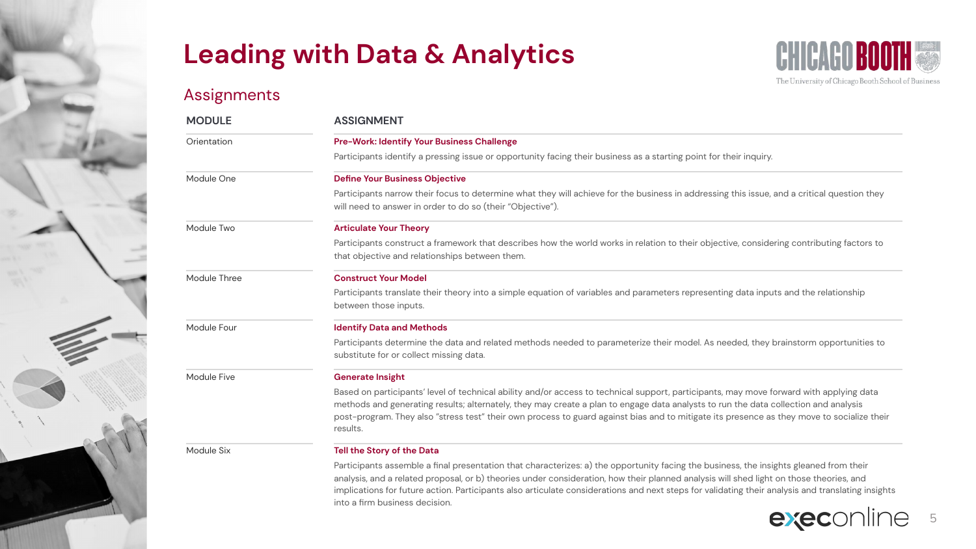into a firm business decision.

### Assignments



| <b>MODULE</b> | <b>ASSIGNMENT</b>                                                                                                                                                                                                                                                                                                                                                                                                                        |  |  |  |
|---------------|------------------------------------------------------------------------------------------------------------------------------------------------------------------------------------------------------------------------------------------------------------------------------------------------------------------------------------------------------------------------------------------------------------------------------------------|--|--|--|
| Orientation   | <b>Pre-Work: Identify Your Business Challenge</b>                                                                                                                                                                                                                                                                                                                                                                                        |  |  |  |
|               | Participants identify a pressing issue or opportunity facing their business as a starting point for their inquiry.                                                                                                                                                                                                                                                                                                                       |  |  |  |
| Module One    | <b>Define Your Business Objective</b>                                                                                                                                                                                                                                                                                                                                                                                                    |  |  |  |
|               | Participants narrow their focus to determine what they will achieve for the business in addressing this issue, and a critical question they<br>will need to answer in order to do so (their "Objective").                                                                                                                                                                                                                                |  |  |  |
| Module Two    | <b>Articulate Your Theory</b>                                                                                                                                                                                                                                                                                                                                                                                                            |  |  |  |
|               | Participants construct a framework that describes how the world works in relation to their objective, considering contributing factors to<br>that objective and relationships between them.                                                                                                                                                                                                                                              |  |  |  |
| Module Three  | <b>Construct Your Model</b>                                                                                                                                                                                                                                                                                                                                                                                                              |  |  |  |
|               | Participants translate their theory into a simple equation of variables and parameters representing data inputs and the relationship<br>between those inputs.                                                                                                                                                                                                                                                                            |  |  |  |
| Module Four   | <b>Identify Data and Methods</b>                                                                                                                                                                                                                                                                                                                                                                                                         |  |  |  |
|               | Participants determine the data and related methods needed to parameterize their model. As needed, they brainstorm opportunities to<br>substitute for or collect missing data.                                                                                                                                                                                                                                                           |  |  |  |
| Module Five   | <b>Generate Insight</b>                                                                                                                                                                                                                                                                                                                                                                                                                  |  |  |  |
|               | Based on participants' level of technical ability and/or access to technical support, participants, may move forward with applying data<br>methods and generating results; alternately, they may create a plan to engage data analysts to run the data collection and analysis<br>post-program. They also "stress test" their own process to guard against bias and to mitigate its presence as they move to socialize their<br>results. |  |  |  |
| Module Six    | Tell the Story of the Data                                                                                                                                                                                                                                                                                                                                                                                                               |  |  |  |
|               | Participants assemble a final presentation that characterizes: a) the opportunity facing the business, the insights gleaned from their<br>analysis, and a related proposal, or b) theories under consideration, how their planned analysis will shed light on those theories, and<br>implications for future action. Participants also articulate considerations and next steps for validating their analysis and translating insights   |  |  |  |

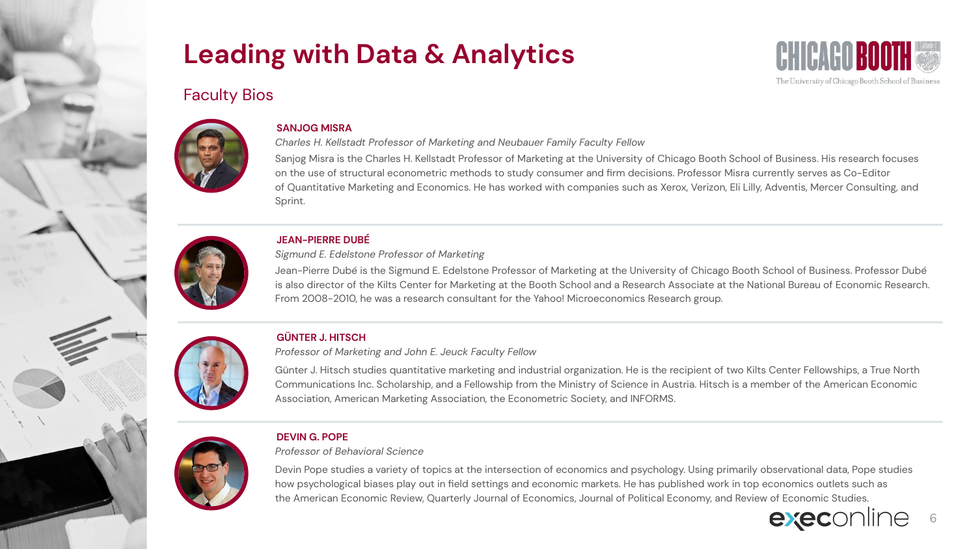

### Faculty Bios



#### **SANJOG MISRA**

*Charles H. Kellstadt Professor of Marketing and Neubauer Family Faculty Fellow*

Sanjog Misra is the Charles H. Kellstadt Professor of Marketing at the University of Chicago Booth School of Business. His research focuses on the use of structural econometric methods to study consumer and firm decisions. Professor Misra currently serves as Co-Editor of Quantitative Marketing and Economics. He has worked with companies such as Xerox, Verizon, Eli Lilly, Adventis, Mercer Consulting, and Sprint.



#### **JEAN-PIERRE DUBÉ**

*Sigmund E. Edelstone Professor of Marketing*

Jean-Pierre Dubé is the Sigmund E. Edelstone Professor of Marketing at the University of Chicago Booth School of Business. Professor Dubé is also director of the Kilts Center for Marketing at the Booth School and a Research Associate at the National Bureau of Economic Research. From 2008-2010, he was a research consultant for the Yahoo! Microeconomics Research group.



### **GÜNTER J. HITSCH**

*Professor of Marketing and John E. Jeuck Faculty Fellow*

Günter J. Hitsch studies quantitative marketing and industrial organization. He is the recipient of two Kilts Center Fellowships, a True North Communications Inc. Scholarship, and a Fellowship from the Ministry of Science in Austria. Hitsch is a member of the American Economic Association, American Marketing Association, the Econometric Society, and INFORMS.



### **DEVIN G. POPE**

*Professor of Behavioral Science*

Devin Pope studies a variety of topics at the intersection of economics and psychology. Using primarily observational data, Pope studies how psychological biases play out in field settings and economic markets. He has published work in top economics outlets such as the American Economic Review, Quarterly Journal of Economics, Journal of Political Economy, and Review of Economic Studies.

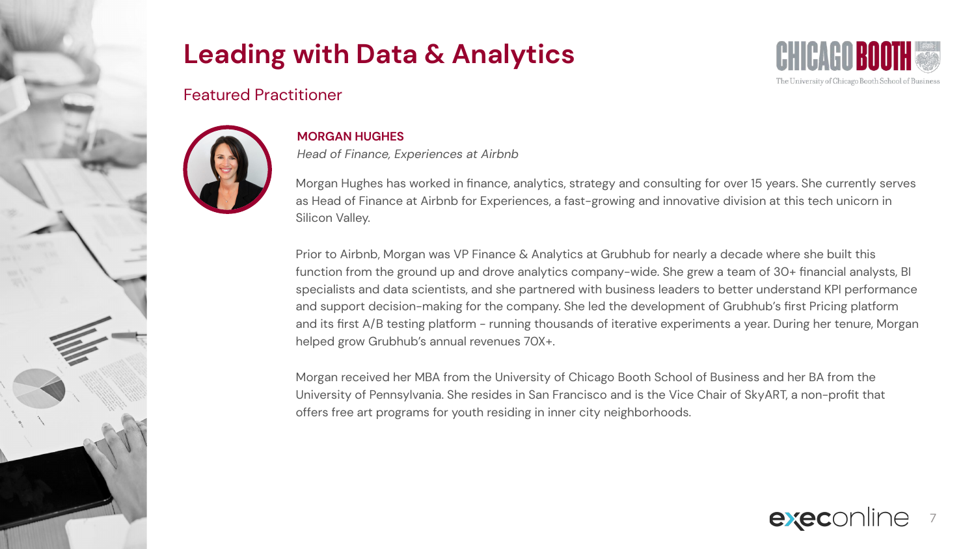

### Featured Practitioner



### **MORGAN HUGHES**

*Head of Finance, Experiences at Airbnb*

Morgan Hughes has worked in finance, analytics, strategy and consulting for over 15 years. She currently serves as Head of Finance at Airbnb for Experiences, a fast-growing and innovative division at this tech unicorn in Silicon Valley.

Prior to Airbnb, Morgan was VP Finance & Analytics at Grubhub for nearly a decade where she built this function from the ground up and drove analytics company-wide. She grew a team of 30+ financial analysts, BI specialists and data scientists, and she partnered with business leaders to better understand KPI performance and support decision-making for the company. She led the development of Grubhub's first Pricing platform and its first A/B testing platform - running thousands of iterative experiments a year. During her tenure, Morgan helped grow Grubhub's annual revenues 70X+.

Morgan received her MBA from the University of Chicago Booth School of Business and her BA from the University of Pennsylvania. She resides in San Francisco and is the Vice Chair of SkyART, a non-profit that offers free art programs for youth residing in inner city neighborhoods.